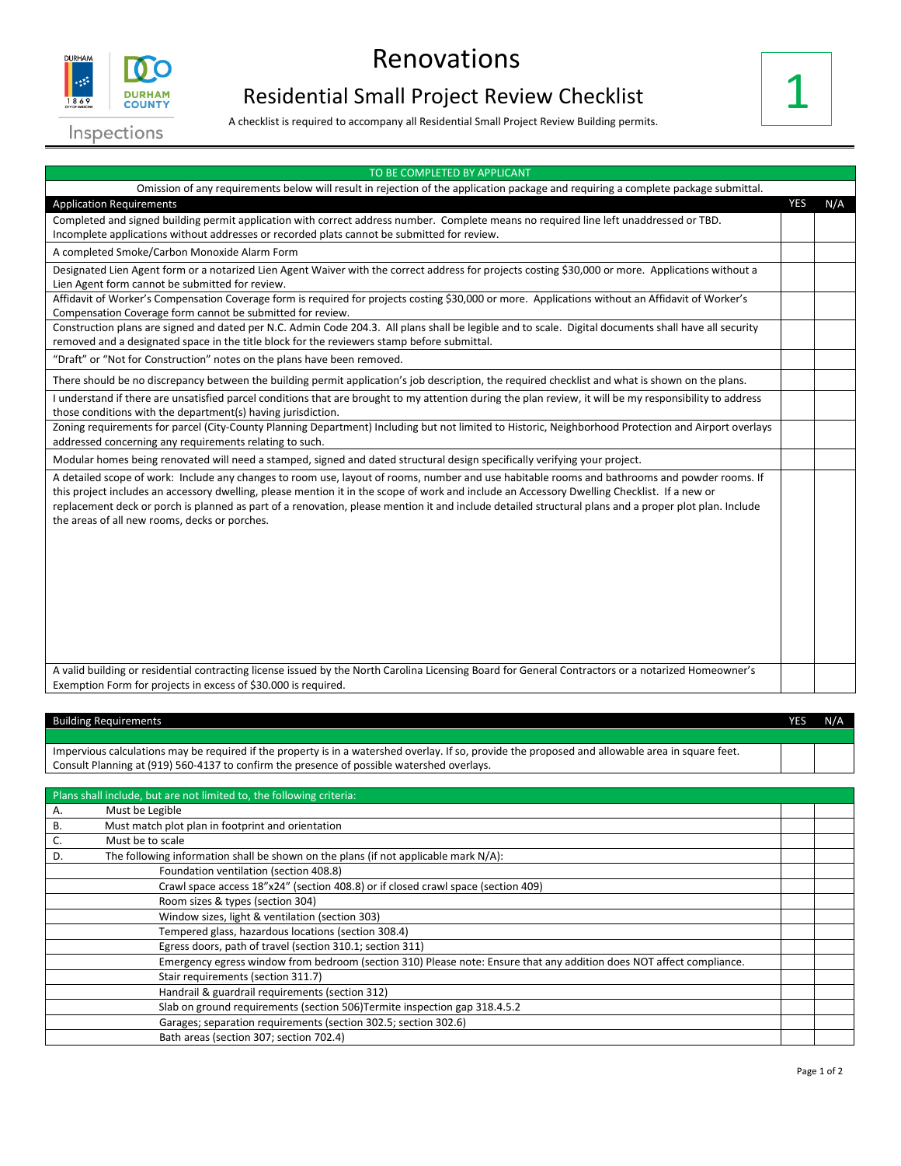

## Renovations

## Residential Small Project Review Checklist

A checklist is required to accompany all Residential Small Project Review Building permits.



| TO BE COMPLETED BY APPLICANT                                                                                                                                                                                                                                                                                                                                                                                                                                                                            |            |     |
|---------------------------------------------------------------------------------------------------------------------------------------------------------------------------------------------------------------------------------------------------------------------------------------------------------------------------------------------------------------------------------------------------------------------------------------------------------------------------------------------------------|------------|-----|
| Omission of any requirements below will result in rejection of the application package and requiring a complete package submittal.                                                                                                                                                                                                                                                                                                                                                                      |            |     |
| <b>Application Requirements</b>                                                                                                                                                                                                                                                                                                                                                                                                                                                                         | <b>YES</b> | N/A |
| Completed and signed building permit application with correct address number. Complete means no required line left unaddressed or TBD.                                                                                                                                                                                                                                                                                                                                                                  |            |     |
| Incomplete applications without addresses or recorded plats cannot be submitted for review.                                                                                                                                                                                                                                                                                                                                                                                                             |            |     |
| A completed Smoke/Carbon Monoxide Alarm Form                                                                                                                                                                                                                                                                                                                                                                                                                                                            |            |     |
| Designated Lien Agent form or a notarized Lien Agent Waiver with the correct address for projects costing \$30,000 or more. Applications without a                                                                                                                                                                                                                                                                                                                                                      |            |     |
| Lien Agent form cannot be submitted for review.                                                                                                                                                                                                                                                                                                                                                                                                                                                         |            |     |
| Affidavit of Worker's Compensation Coverage form is required for projects costing \$30,000 or more. Applications without an Affidavit of Worker's<br>Compensation Coverage form cannot be submitted for review.                                                                                                                                                                                                                                                                                         |            |     |
| Construction plans are signed and dated per N.C. Admin Code 204.3. All plans shall be legible and to scale. Digital documents shall have all security                                                                                                                                                                                                                                                                                                                                                   |            |     |
| removed and a designated space in the title block for the reviewers stamp before submittal.                                                                                                                                                                                                                                                                                                                                                                                                             |            |     |
| "Draft" or "Not for Construction" notes on the plans have been removed.                                                                                                                                                                                                                                                                                                                                                                                                                                 |            |     |
| There should be no discrepancy between the building permit application's job description, the required checklist and what is shown on the plans.                                                                                                                                                                                                                                                                                                                                                        |            |     |
| I understand if there are unsatisfied parcel conditions that are brought to my attention during the plan review, it will be my responsibility to address<br>those conditions with the department(s) having jurisdiction.                                                                                                                                                                                                                                                                                |            |     |
| Zoning requirements for parcel (City-County Planning Department) Including but not limited to Historic, Neighborhood Protection and Airport overlays<br>addressed concerning any requirements relating to such.                                                                                                                                                                                                                                                                                         |            |     |
| Modular homes being renovated will need a stamped, signed and dated structural design specifically verifying your project.                                                                                                                                                                                                                                                                                                                                                                              |            |     |
| A detailed scope of work: Include any changes to room use, layout of rooms, number and use habitable rooms and bathrooms and powder rooms. If<br>this project includes an accessory dwelling, please mention it in the scope of work and include an Accessory Dwelling Checklist. If a new or<br>replacement deck or porch is planned as part of a renovation, please mention it and include detailed structural plans and a proper plot plan. Include<br>the areas of all new rooms, decks or porches. |            |     |
| A valid building or residential contracting license issued by the North Carolina Licensing Board for General Contractors or a notarized Homeowner's                                                                                                                                                                                                                                                                                                                                                     |            |     |
| Exemption Form for projects in excess of \$30.000 is required.                                                                                                                                                                                                                                                                                                                                                                                                                                          |            |     |

| <b>Building Requirements</b>                                                                                                                      | YES | N/A |
|---------------------------------------------------------------------------------------------------------------------------------------------------|-----|-----|
|                                                                                                                                                   |     |     |
| Impervious calculations may be required if the property is in a watershed overlay. If so, provide the proposed and allowable area in square feet. |     |     |
| Consult Planning at (919) 560-4137 to confirm the presence of possible watershed overlays.                                                        |     |     |

|    | Plans shall include, but are not limited to, the following criteria:                                                 |  |
|----|----------------------------------------------------------------------------------------------------------------------|--|
| Α. | Must be Legible                                                                                                      |  |
| В. | Must match plot plan in footprint and orientation                                                                    |  |
| Ć. | Must be to scale                                                                                                     |  |
| D. | The following information shall be shown on the plans (if not applicable mark N/A):                                  |  |
|    | Foundation ventilation (section 408.8)                                                                               |  |
|    | Crawl space access 18"x24" (section 408.8) or if closed crawl space (section 409)                                    |  |
|    | Room sizes & types (section 304)                                                                                     |  |
|    | Window sizes, light & ventilation (section 303)                                                                      |  |
|    | Tempered glass, hazardous locations (section 308.4)                                                                  |  |
|    | Egress doors, path of travel (section 310.1; section 311)                                                            |  |
|    | Emergency egress window from bedroom (section 310) Please note: Ensure that any addition does NOT affect compliance. |  |
|    | Stair requirements (section 311.7)                                                                                   |  |
|    | Handrail & guardrail requirements (section 312)                                                                      |  |
|    | Slab on ground requirements (section 506) Termite inspection gap 318.4.5.2                                           |  |
|    | Garages; separation requirements (section 302.5; section 302.6)                                                      |  |
|    | Bath areas (section 307; section 702.4)                                                                              |  |